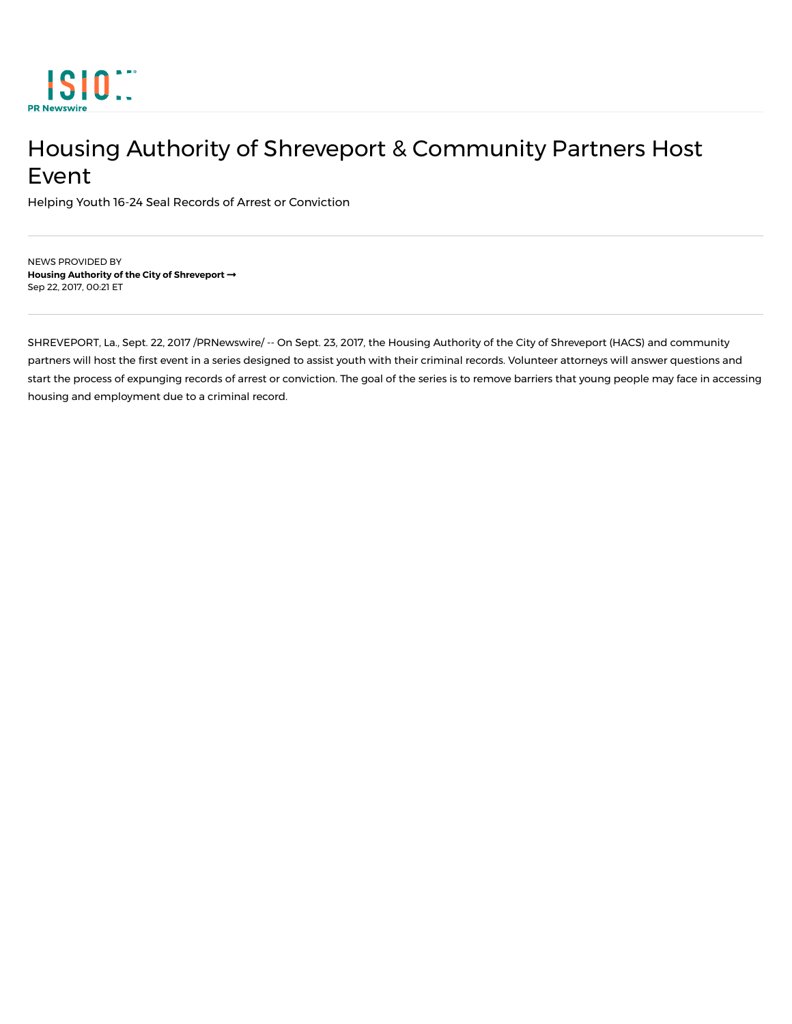

## Housing Authority of Shreveport & Community Partners Host Event

Helping Youth 16-24 Seal Records of Arrest or Conviction

NEWS PROVIDED BY **Housing Authority of the City of Shreveport ¦** Sep 22, 2017, 00:21 ET

SHREVEPORT, La., Sept. 22, 2017 /PRNewswire/ -- On Sept. 23, 2017, the Housing Authority of the City of Shreveport (HACS) and community partners will host the first event in a series designed to assist youth with their criminal records. Volunteer attorneys will answer questions and start the process of expunging records of arrest or conviction. The goal of the series is to remove barriers that young people may face in accessing housing and employment due to a criminal record.